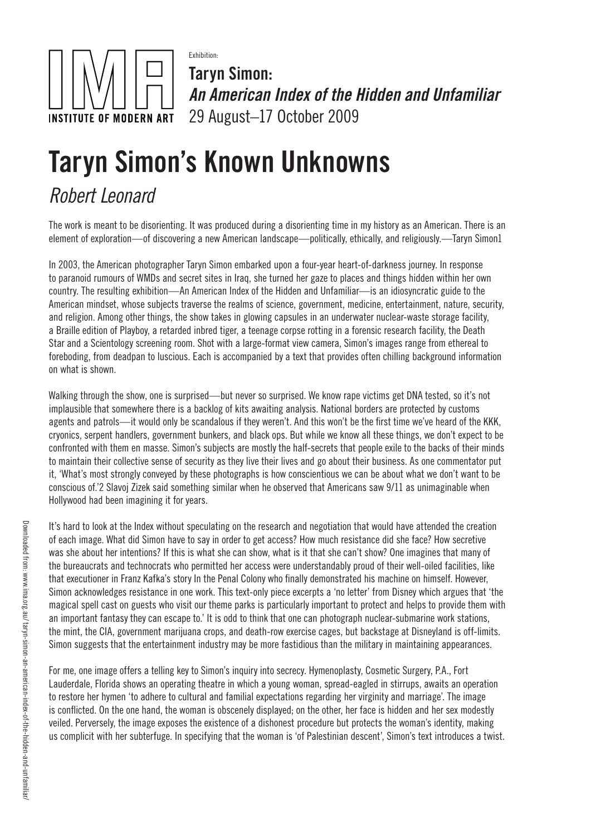

Exhibition: Taryn Simon: *An American Index of the Hidden and Unfamiliar* 29 August–17 October 2009

## Taryn Simon's Known Unknowns

## *Robert Leonard*

The work is meant to be disorienting. It was produced during a disorienting time in my history as an American. There is an element of exploration—of discovering a new American landscape—politically, ethically, and religiously.—Taryn Simon1

In 2003, the American photographer Taryn Simon embarked upon a four-year heart-of-darkness journey. In response to paranoid rumours of WMDs and secret sites in Iraq, she turned her gaze to places and things hidden within her own country. The resulting exhibition—An American Index of the Hidden and Unfamiliar—is an idiosyncratic guide to the American mindset, whose subjects traverse the realms of science, government, medicine, entertainment, nature, security, and religion. Among other things, the show takes in glowing capsules in an underwater nuclear-waste storage facility, a Braille edition of Playboy, a retarded inbred tiger, a teenage corpse rotting in a forensic research facility, the Death Star and a Scientology screening room. Shot with a large-format view camera, Simon's images range from ethereal to foreboding, from deadpan to luscious. Each is accompanied by a text that provides often chilling background information on what is shown.

Walking through the show, one is surprised—but never so surprised. We know rape victims get DNA tested, so it's not implausible that somewhere there is a backlog of kits awaiting analysis. National borders are protected by customs agents and patrols—it would only be scandalous if they weren't. And this won't be the first time we've heard of the KKK, cryonics, serpent handlers, government bunkers, and black ops. But while we know all these things, we don't expect to be confronted with them en masse. Simon's subjects are mostly the half-secrets that people exile to the backs of their minds to maintain their collective sense of security as they live their lives and go about their business. As one commentator put it, 'What's most strongly conveyed by these photographs is how conscientious we can be about what we don't want to be conscious of.'2 Slavoj Zizek said something similar when he observed that Americans saw 9/11 as unimaginable when Hollywood had been imagining it for years.

It's hard to look at the Index without speculating on the research and negotiation that would have attended the creation of each image. What did Simon have to say in order to get access? How much resistance did she face? How secretive was she about her intentions? If this is what she can show, what is it that she can't show? One imagines that many of the bureaucrats and technocrats who permitted her access were understandably proud of their well-oiled facilities, like that executioner in Franz Kafka's story In the Penal Colony who finally demonstrated his machine on himself. However, Simon acknowledges resistance in one work. This text-only piece excerpts a 'no letter' from Disney which argues that 'the magical spell cast on guests who visit our theme parks is particularly important to protect and helps to provide them with an important fantasy they can escape to.' It is odd to think that one can photograph nuclear-submarine work stations, the mint, the CIA, government marijuana crops, and death-row exercise cages, but backstage at Disneyland is off-limits. Simon suggests that the entertainment industry may be more fastidious than the military in maintaining appearances.

For me, one image offers a telling key to Simon's inquiry into secrecy. Hymenoplasty, Cosmetic Surgery, P.A., Fort Lauderdale, Florida shows an operating theatre in which a young woman, spread-eagled in stirrups, awaits an operation to restore her hymen 'to adhere to cultural and familial expectations regarding her virginity and marriage'. The image is conflicted. On the one hand, the woman is obscenely displayed; on the other, her face is hidden and her sex modestly veiled. Perversely, the image exposes the existence of a dishonest procedure but protects the woman's identity, making us complicit with her subterfuge. In specifying that the woman is 'of Palestinian descent', Simon's text introduces a twist.